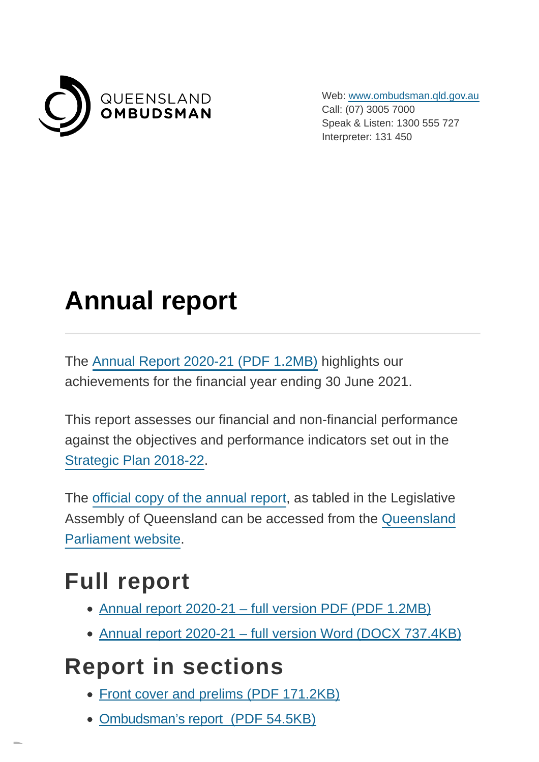

Web: [www.ombudsman.qld.gov.au](https://www.ombudsman.qld.gov.au/) Call: (07) 3005 7000 Speak & Listen: 1300 555 727 Interpreter: 131 450

# **Annual report**

The [Annual Report 2020-21 \(PDF](https://www.ombudsman.qld.gov.au/ArticleDocuments/262/QO%20Annual%20Report%202020-21%20-%20PUBLIC.PDF.aspx) 1.2MB) highlights our achievements for the financial year ending 30 June 2021.

This report assesses our financial and non-financial performance against the objectives and performance indicators set out in the [Strategic Plan 2018-22.](https://www.ombudsman.qld.gov.au/ArticleDocuments/517/Queensland%20Ombudsman%20Strategic-Plan%202018-22%20Version%20March%202020.pdf.aspx)

The [official copy of the annual report,](https://documents.parliament.qld.gov.au/TableOffice/TabledPapers/2021/5721T1461.pdf) as tabled in the Legislative Assembly of Queensland can be accessed from the [Queensland](https://www.parliament.qld.gov.au/Work-of-the-Assembly/Tabled-Papers/Online-Tabled-Papers) Parliament website.

#### **Full report**

- [Annual report 2020-21 full version PDF \(PDF](https://www.ombudsman.qld.gov.au/ArticleDocuments/262/QO%20Annual%20Report%202020-21%20-%20PUBLIC.PDF.aspx) 1.2MB)
- [Annual report 2020-21 full version Word \(DOCX](https://www.ombudsman.qld.gov.au/ArticleDocuments/262/QO%20Annual%20Report%202020-21%20-%20PUBLIC%20-%20exported%20Word%20version.DOCX.aspx) 737.4KB)

### **Report in sections**

- [Front cover and prelims \(PDF](https://www.ombudsman.qld.gov.au/ArticleDocuments/262/QO%20Annual%20Report%202020-21%20-%20PUBLIC%20-%2001%20Front%20cover%20and%20prelims.PDF.aspx) 171.2KB)
- [Ombudsman's report \(PDF](https://www.ombudsman.qld.gov.au/ArticleDocuments/262/QO%20Annual%20Report%202020-21%20-%20PUBLIC%20-%2002%20Ombudsmans%20report.PDF.aspx) 54.5KB)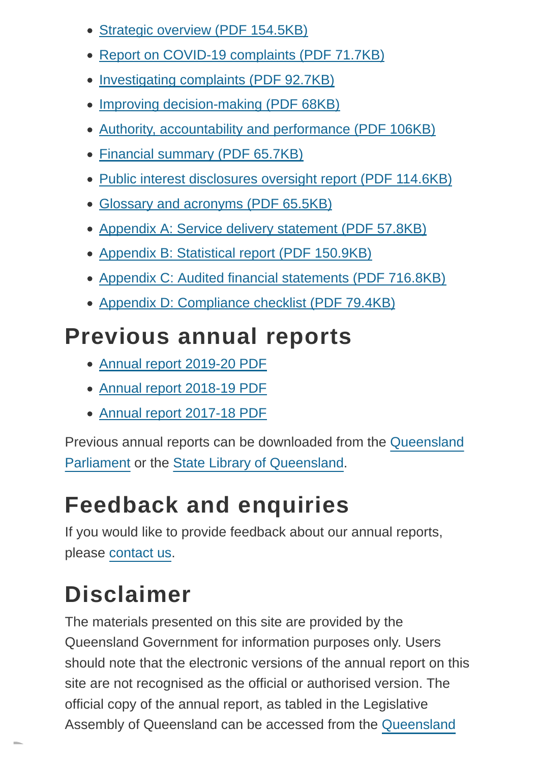- [Strategic overview \(PDF](https://www.ombudsman.qld.gov.au/ArticleDocuments/262/QO%20Annual%20Report%202020-21%20-%20PUBLIC%20-%2003%20Strategic%20overview.PDF.aspx) 154.5KB)
- [Report on COVID-19 complaints \(PDF](https://www.ombudsman.qld.gov.au/ArticleDocuments/262/QO%20Annual%20Report%202020-21%20-%20PUBLIC%20-%2004%20Report%20on%20COVID-19%20complaints.PDF.aspx) 71.7KB)
- [Investigating complaints \(PDF](https://www.ombudsman.qld.gov.au/ArticleDocuments/262/QO%20Annual%20Report%202020-21%20-%20PUBLIC%20-%2005%20Investigating%20complaints.PDF.aspx) 92.7KB)
- [Improving decision-making \(PDF](https://www.ombudsman.qld.gov.au/ArticleDocuments/262/QO%20Annual%20Report%202020-21%20-%20PUBLIC%20-%2006%20Improving%20decision-making.PDF.aspx) 68KB)
- [Authority, accountability and performance \(PDF](https://www.ombudsman.qld.gov.au/ArticleDocuments/262/QO%20Annual%20Report%202020-21%20-%20PUBLIC%20-%2007%20Authority%20accountability%20and%20performance.PDF.aspx) 106KB)
- [Financial summary \(PDF](https://www.ombudsman.qld.gov.au/ArticleDocuments/262/QO%20Annual%20Report%202020-21%20-%20PUBLIC%20-%2008%20Financial%20summary.PDF.aspx) 65.7KB)
- [Public interest disclosures oversight report \(PDF](https://www.ombudsman.qld.gov.au/ArticleDocuments/262/QO%20Annual%20Report%202020-21%20-%20PUBLIC%20-%2009%20Public%20interest%20disclosures%20oversight%20report.PDF.aspx) 114.6KB)
- [Glossary and acronyms \(PDF](https://www.ombudsman.qld.gov.au/ArticleDocuments/262/QO%20Annual%20Report%202020-21%20-%20PUBLIC%20-%2010%20Glossary%20and%20acronyms.PDF.aspx) 65.5KB)
- [Appendix A: Service delivery statement \(PDF](https://www.ombudsman.qld.gov.au/ArticleDocuments/262/QO%20Annual%20Report%202020-21%20-%20PUBLIC%20-%2011%20Appendix%20A%20-%20Service%20delivery%20statement.PDF.aspx) 57.8KB)
- [Appendix B: Statistical report \(PDF](https://www.ombudsman.qld.gov.au/ArticleDocuments/262/QO%20Annual%20Report%202020-21%20-%20PUBLIC%20-%2012%20Appendix%20B%20-%20Statistical%20report.PDF.aspx) 150.9KB)
- [Appendix C: Audited financial statements \(PDF](https://www.ombudsman.qld.gov.au/ArticleDocuments/262/QO%20Annual%20Report%202020-21%20-%20PUBLIC%20-%2013%20Appendix%20C%20-%20Audited%20financial%20statements.PDF.aspx) 716.8KB)
- [Appendix D: Compliance checklist \(PDF](https://www.ombudsman.qld.gov.au/ArticleDocuments/262/QO%20Annual%20Report%202020-21%20-%20PUBLIC%20-%2014%20Appendix%20D%20-%20Compliance%20checklist.PDF.aspx) 79.4KB)

#### **Previous annual reports**

- [Annual report 2019-20 PDF](https://www.ombudsman.qld.gov.au/ArticleDocuments/262/Queensland%20Ombudsman%20Annual%20Report%202019-20%20-%20DIGITAL%20PUBLIC.PDF.aspx)
- [Annual report 2018-19 PDF](https://www.ombudsman.qld.gov.au/ArticleDocuments/262/5619T1720-Queensland-Ombudsman-annual-report-2018-19.pdf.aspx)
- [Annual report 2017-18 PDF](https://www.ombudsman.qld.gov.au/ArticleDocuments/262/QO_Annual_Report_2017-18.PDF.aspx)

Previous annual reports can be downloaded from the [Queensland](https://www.parliament.qld.gov.au/Work-of-the-Assembly/Tabled-Papers/Online-Tabled-Papers) Parliament or the [State Library of Queensland.](http://onesearch.slq.qld.gov.au/primo_library/libweb/action/dlDisplay.do?vid=SLQ&search_scope=SLQ_PCI_EBSCO&docId=slq_alma21111952320002061&fn=permalink)

## **Feedback and enquiries**

If you would like to provide feedback about our annual reports, please [contact us.](https://www.ombudsman.qld.gov.au/about-us/contact-us/contact-us)

## **Disclaimer**

The materials presented on this site are provided by the Queensland Government for information purposes only. Users should note that the electronic versions of the annual report on this site are not recognised as the official or authorised version. The official copy of the annual report, as tabled in the Legislative Assembly of Queensland can be accessed from the [Queensland](https://www.parliament.qld.gov.au/Work-of-the-Assembly/Tabled-Papers/Online-Tabled-Papers)